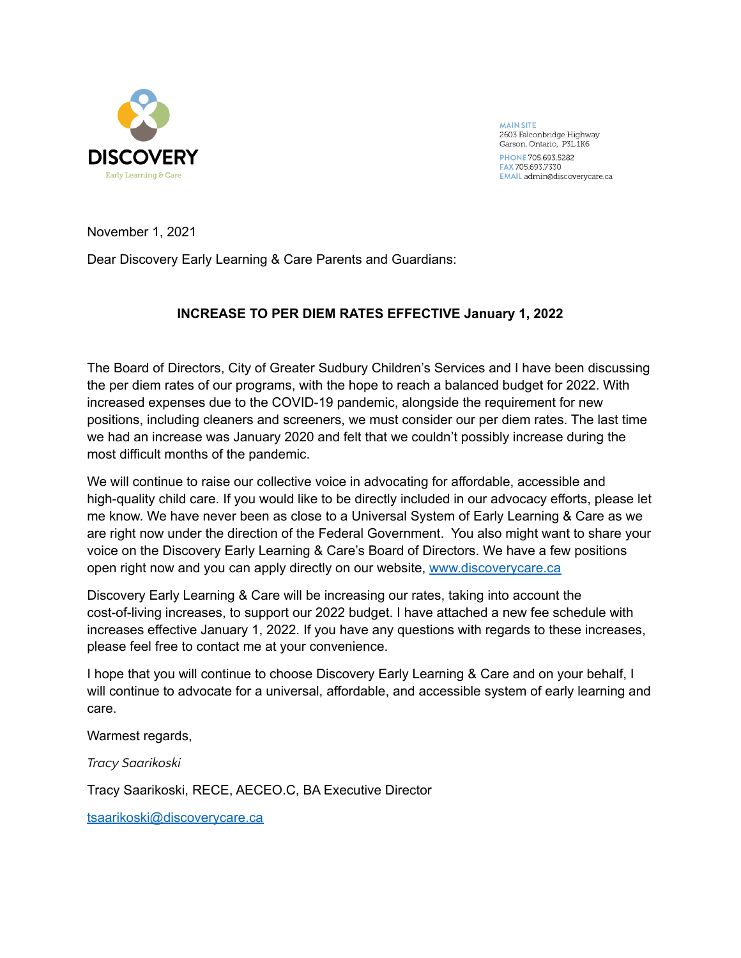

**MAIN SITE** 2603 Falconbridge Highway Garson, Ontario, P3L1K6 PHONE 705.693.5282 FAX 705.693.7330 EMAIL admin@discoverycare.ca

November 1, 2021

Dear Discovery Early Learning & Care Parents and Guardians:

# **INCREASE TO PER DIEM RATES EFFECTIVE January 1, 2022**

The Board of Directors, City of Greater Sudbury Children's Services and I have been discussing the per diem rates of our programs, with the hope to reach a balanced budget for 2022. With increased expenses due to the COVID-19 pandemic, alongside the requirement for new positions, including cleaners and screeners, we must consider our per diem rates. The last time we had an increase was January 2020 and felt that we couldn't possibly increase during the most difficult months of the pandemic.

We will continue to raise our collective voice in advocating for affordable, accessible and high-quality child care. If you would like to be directly included in our advocacy efforts, please let me know. We have never been as close to a Universal System of Early Learning & Care as we are right now under the direction of the Federal Government. You also might want to share your voice on the Discovery Early Learning & Care's Board of Directors. We have a few positions open right now and you can apply directly on our website, [www.discoverycare.ca](http://www.discoverycare.ca)

Discovery Early Learning & Care will be increasing our rates, taking into account the cost-of-living increases, to support our 2022 budget. I have attached a new fee schedule with increases effective January 1, 2022. If you have any questions with regards to these increases, please feel free to contact me at your convenience.

I hope that you will continue to choose Discovery Early Learning & Care and on your behalf, I will continue to advocate for a universal, affordable, and accessible system of early learning and care.

Warmest regards,

*Tracy Saarikoski*

Tracy Saarikoski, RECE, AECEO.C, BA Executive Director

[tsaarikoski@discoverycare.ca](mailto:tsaarikoski@discoverycare.ca)